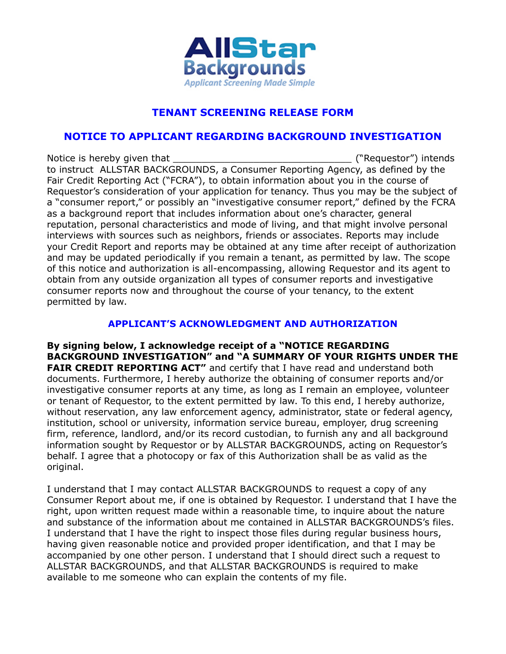

## **TENANT SCREENING RELEASE FORM**

## **NOTICE TO APPLICANT REGARDING BACKGROUND INVESTIGATION**

Notice is hereby given that the state of the state of the state ("Requestor") intends to instruct ALLSTAR BACKGROUNDS, a Consumer Reporting Agency, as defined by the Fair Credit Reporting Act ("FCRA"), to obtain information about you in the course of Requestor's consideration of your application for tenancy. Thus you may be the subject of a "consumer report," or possibly an "investigative consumer report," defined by the FCRA as a background report that includes information about one's character, general reputation, personal characteristics and mode of living, and that might involve personal interviews with sources such as neighbors, friends or associates. Reports may include your Credit Report and reports may be obtained at any time after receipt of authorization and may be updated periodically if you remain a tenant, as permitted by law. The scope of this notice and authorization is all-encompassing, allowing Requestor and its agent to obtain from any outside organization all types of consumer reports and investigative consumer reports now and throughout the course of your tenancy, to the extent permitted by law.

## **APPLICANT'S ACKNOWLEDGMENT AND AUTHORIZATION**

**By signing below, I acknowledge receipt of a "NOTICE REGARDING BACKGROUND INVESTIGATION" and "A SUMMARY OF YOUR RIGHTS UNDER THE FAIR CREDIT REPORTING ACT"** and certify that I have read and understand both documents. Furthermore, I hereby authorize the obtaining of consumer reports and/or investigative consumer reports at any time, as long as I remain an employee, volunteer or tenant of Requestor, to the extent permitted by law. To this end, I hereby authorize, without reservation, any law enforcement agency, administrator, state or federal agency, institution, school or university, information service bureau, employer, drug screening firm, reference, landlord, and/or its record custodian, to furnish any and all background information sought by Requestor or by ALLSTAR BACKGROUNDS, acting on Requestor's behalf. I agree that a photocopy or fax of this Authorization shall be as valid as the original.

I understand that I may contact ALLSTAR BACKGROUNDS to request a copy of any Consumer Report about me, if one is obtained by Requestor. I understand that I have the right, upon written request made within a reasonable time, to inquire about the nature and substance of the information about me contained in ALLSTAR BACKGROUNDS's files. I understand that I have the right to inspect those files during regular business hours, having given reasonable notice and provided proper identification, and that I may be accompanied by one other person. I understand that I should direct such a request to ALLSTAR BACKGROUNDS, and that ALLSTAR BACKGROUNDS is required to make available to me someone who can explain the contents of my file.